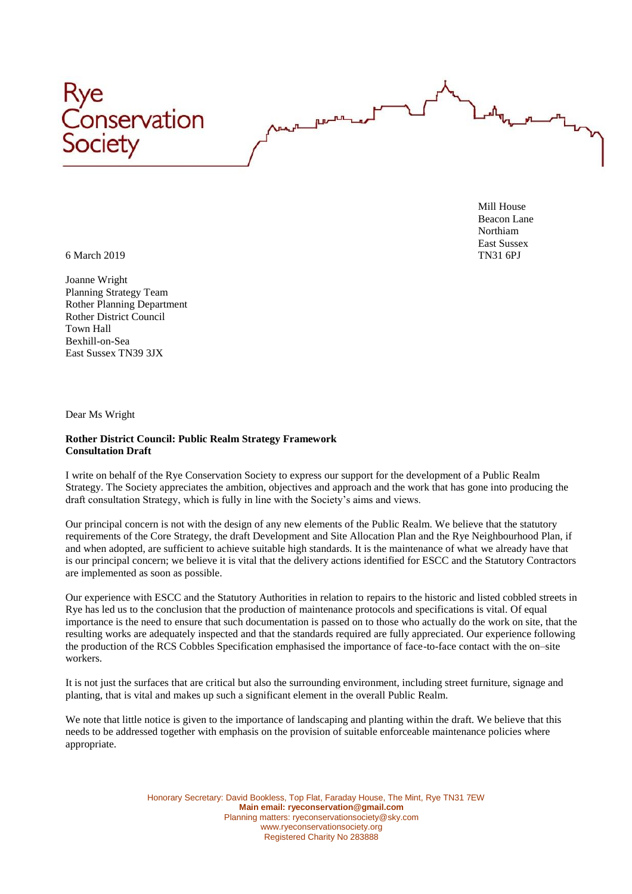

Mill House Beacon Lane Northiam East Sussex<br>TN31 6PJ

6 March 2019 TN31 6PJ

Joanne Wright Planning Strategy Team Rother Planning Department Rother District Council Town Hall Bexhill-on-Sea East Sussex TN39 3JX

Dear Ms Wright

## **Rother District Council: Public Realm Strategy Framework Consultation Draft**

I write on behalf of the Rye Conservation Society to express our support for the development of a Public Realm Strategy. The Society appreciates the ambition, objectives and approach and the work that has gone into producing the draft consultation Strategy, which is fully in line with the Society's aims and views.

Our principal concern is not with the design of any new elements of the Public Realm. We believe that the statutory requirements of the Core Strategy, the draft Development and Site Allocation Plan and the Rye Neighbourhood Plan, if and when adopted, are sufficient to achieve suitable high standards. It is the maintenance of what we already have that is our principal concern; we believe it is vital that the delivery actions identified for ESCC and the Statutory Contractors are implemented as soon as possible.

Our experience with ESCC and the Statutory Authorities in relation to repairs to the historic and listed cobbled streets in Rye has led us to the conclusion that the production of maintenance protocols and specifications is vital. Of equal importance is the need to ensure that such documentation is passed on to those who actually do the work on site, that the resulting works are adequately inspected and that the standards required are fully appreciated. Our experience following the production of the RCS Cobbles Specification emphasised the importance of face-to-face contact with the on–site workers.

It is not just the surfaces that are critical but also the surrounding environment, including street furniture, signage and planting, that is vital and makes up such a significant element in the overall Public Realm.

We note that little notice is given to the importance of landscaping and planting within the draft. We believe that this needs to be addressed together with emphasis on the provision of suitable enforceable maintenance policies where appropriate.

> Honorary Secretary: David Bookless, Top Flat, Faraday House, The Mint, Rye TN31 7EW **Main email: ryeconservation@gmail.com** Planning matters: ryeconservationsociety@sky.com www.ryeconservationsociety.org Registered Charity No 283888